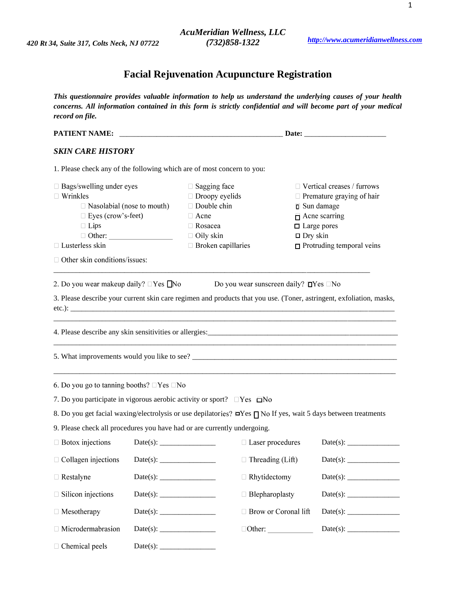# **Facial Rejuvenation Acupuncture Registration**

*This questionnaire provides valuable information to help us understand the underlying causes of your health concerns. All information contained in this form is strictly confidential and will become part of your medical record on file.*

| <b>PATIENT NAME:</b>                                                                                                                                                                        |  |                                                                                                                                                 |                                                         |                                                                                                                                                                                                   |  |
|---------------------------------------------------------------------------------------------------------------------------------------------------------------------------------------------|--|-------------------------------------------------------------------------------------------------------------------------------------------------|---------------------------------------------------------|---------------------------------------------------------------------------------------------------------------------------------------------------------------------------------------------------|--|
| <b>SKIN CARE HISTORY</b>                                                                                                                                                                    |  |                                                                                                                                                 |                                                         |                                                                                                                                                                                                   |  |
| 1. Please check any of the following which are of most concern to you:                                                                                                                      |  |                                                                                                                                                 |                                                         |                                                                                                                                                                                                   |  |
| $\Box$ Bags/swelling under eyes<br>$\Box$ Wrinkles<br>$\Box$ Nasolabial (nose to mouth)<br>□ Eyes (crow's-feet)<br>$\Box$ Lips<br>□ Lusterless skin<br>$\Box$ Other skin conditions/issues: |  | $\Box$ Sagging face<br>$\Box$ Droopy eyelids<br>$\Box$ Double chin<br>$\Box$ Acne<br>□ Rosacea<br>$\Box$ Oily skin<br>$\Box$ Broken capillaries |                                                         | $\Box$ Vertical creases / furrows<br>$\Box$ Premature graying of hair<br><b>□</b> Sun damage<br>$\Box$ Acne scarring<br>$\Box$ Large pores<br>$\Box$ Dry skin<br>$\Box$ Protruding temporal veins |  |
| 2. Do you wear makeup daily? $\Box$ Yes $\Box$ No                                                                                                                                           |  |                                                                                                                                                 | Do you wear sunscreen daily? $\square$ Yes $\square$ No |                                                                                                                                                                                                   |  |
|                                                                                                                                                                                             |  |                                                                                                                                                 |                                                         | 3. Please describe your current skin care regimen and products that you use. (Toner, astringent, exfoliation, masks,                                                                              |  |
|                                                                                                                                                                                             |  |                                                                                                                                                 |                                                         |                                                                                                                                                                                                   |  |
|                                                                                                                                                                                             |  |                                                                                                                                                 |                                                         |                                                                                                                                                                                                   |  |
| 6. Do you go to tanning booths? $\Box$ Yes $\Box$ No                                                                                                                                        |  |                                                                                                                                                 |                                                         |                                                                                                                                                                                                   |  |
| 7. Do you participate in vigorous aerobic activity or sport? $\Box$ Yes $\Box$ No                                                                                                           |  |                                                                                                                                                 |                                                         |                                                                                                                                                                                                   |  |
| 8. Do you get facial waxing/electrolysis or use depilatories? <b>□Yes</b> no If yes, wait 5 days between treatments                                                                         |  |                                                                                                                                                 |                                                         |                                                                                                                                                                                                   |  |
| 9. Please check all procedures you have had or are currently undergoing.                                                                                                                    |  |                                                                                                                                                 |                                                         |                                                                                                                                                                                                   |  |
| $\Box$ Botox injections                                                                                                                                                                     |  |                                                                                                                                                 | $\Box$ Laser procedures                                 | Date(s):                                                                                                                                                                                          |  |
| $\Box$ Collagen injections                                                                                                                                                                  |  |                                                                                                                                                 | $\Box$ Threading (Lift)                                 |                                                                                                                                                                                                   |  |
| $\Box$ Restalyne                                                                                                                                                                            |  |                                                                                                                                                 | $\Box$ Rhytidectomy                                     |                                                                                                                                                                                                   |  |
| $\Box$ Silicon injections                                                                                                                                                                   |  |                                                                                                                                                 | $\Box$ Blepharoplasty                                   | Date(s):                                                                                                                                                                                          |  |
| $\Box$ Mesotherapy                                                                                                                                                                          |  |                                                                                                                                                 | □ Brow or Coronal lift                                  |                                                                                                                                                                                                   |  |
| □ Microdermabrasion                                                                                                                                                                         |  |                                                                                                                                                 | $\Box$ Other: $\_\_$                                    |                                                                                                                                                                                                   |  |
| $\Box$ Chemical peels                                                                                                                                                                       |  |                                                                                                                                                 |                                                         |                                                                                                                                                                                                   |  |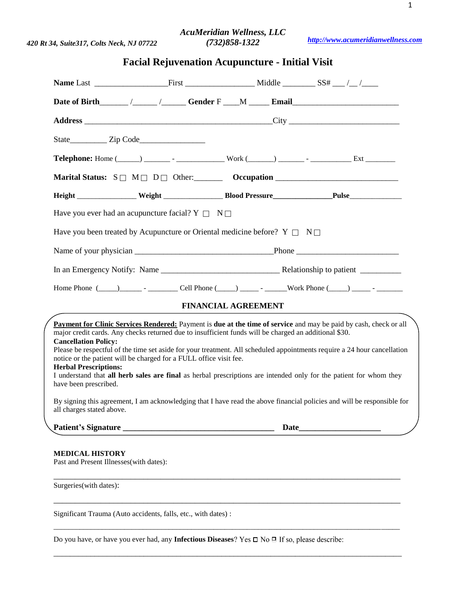# *AcuMeridian Wellness, LLC (732)858-1322*

*[http://www.acumeridianwellness.com](http://www.acumeridianwellness.com/)*

# **Facial Rejuvenation Acupuncture - Initial Visit**

|                                                                                                                                                                                                                                                                                                                                                                                                                                                                                                                                                                                                                                            | Height _________________ Weight _______________________Blood Pressure_____________________Pulse_______________          |  |  |  |  |
|--------------------------------------------------------------------------------------------------------------------------------------------------------------------------------------------------------------------------------------------------------------------------------------------------------------------------------------------------------------------------------------------------------------------------------------------------------------------------------------------------------------------------------------------------------------------------------------------------------------------------------------------|-------------------------------------------------------------------------------------------------------------------------|--|--|--|--|
| Have you ever had an acupuncture facial? $Y \Box N \Box$                                                                                                                                                                                                                                                                                                                                                                                                                                                                                                                                                                                   |                                                                                                                         |  |  |  |  |
| Have you been treated by Acupuncture or Oriental medicine before? $Y \Box N \Box$                                                                                                                                                                                                                                                                                                                                                                                                                                                                                                                                                          |                                                                                                                         |  |  |  |  |
|                                                                                                                                                                                                                                                                                                                                                                                                                                                                                                                                                                                                                                            |                                                                                                                         |  |  |  |  |
|                                                                                                                                                                                                                                                                                                                                                                                                                                                                                                                                                                                                                                            |                                                                                                                         |  |  |  |  |
|                                                                                                                                                                                                                                                                                                                                                                                                                                                                                                                                                                                                                                            |                                                                                                                         |  |  |  |  |
| <b>FINANCIAL AGREEMENT</b>                                                                                                                                                                                                                                                                                                                                                                                                                                                                                                                                                                                                                 |                                                                                                                         |  |  |  |  |
| Payment for Clinic Services Rendered: Payment is due at the time of service and may be paid by cash, check or all<br>major credit cards. Any checks returned due to insufficient funds will be charged an additional \$30.<br><b>Cancellation Policy:</b><br>Please be respectful of the time set aside for your treatment. All scheduled appointments require a 24 hour cancellation<br>notice or the patient will be charged for a FULL office visit fee.<br><b>Herbal Prescriptions:</b><br>I understand that all herb sales are final as herbal prescriptions are intended only for the patient for whom they<br>have been prescribed. |                                                                                                                         |  |  |  |  |
| all charges stated above.                                                                                                                                                                                                                                                                                                                                                                                                                                                                                                                                                                                                                  | By signing this agreement, I am acknowledging that I have read the above financial policies and will be responsible for |  |  |  |  |
|                                                                                                                                                                                                                                                                                                                                                                                                                                                                                                                                                                                                                                            | Date                                                                                                                    |  |  |  |  |
| <b>MEDICAL HISTORY</b><br>Past and Present Illnesses(with dates):                                                                                                                                                                                                                                                                                                                                                                                                                                                                                                                                                                          |                                                                                                                         |  |  |  |  |
| Surgeries(with dates):                                                                                                                                                                                                                                                                                                                                                                                                                                                                                                                                                                                                                     |                                                                                                                         |  |  |  |  |

Significant Trauma (Auto accidents, falls, etc., with dates) :

Do you have, or have you ever had, any **Infectious Diseases**

\_\_\_\_\_\_\_\_\_\_\_\_\_\_\_\_\_\_\_\_\_\_\_\_\_\_\_\_\_\_\_\_\_\_\_\_\_\_\_\_\_\_\_\_\_\_\_\_\_\_\_\_\_\_\_\_\_\_\_\_\_\_\_\_\_\_\_\_\_\_\_\_\_\_\_\_\_\_\_\_\_

\_\_\_\_\_\_\_\_\_\_\_\_\_\_\_\_\_\_\_\_\_\_\_\_\_\_\_\_\_\_\_\_\_\_\_\_\_\_\_\_\_\_\_\_\_\_\_\_\_\_\_\_\_\_\_\_\_\_\_\_\_\_\_\_\_\_\_\_\_\_\_\_\_\_\_\_\_\_\_\_\_\_\_\_\_\_\_\_\_\_\_\_\_

\_\_\_\_\_\_\_\_\_\_\_\_\_\_\_\_\_\_\_\_\_\_\_\_\_\_\_\_\_\_\_\_\_\_\_\_\_\_\_\_\_\_\_\_\_\_\_\_\_\_\_\_\_\_\_\_\_\_\_\_\_\_\_\_\_\_\_\_\_\_\_\_\_\_\_\_\_\_\_\_\_\_\_\_\_